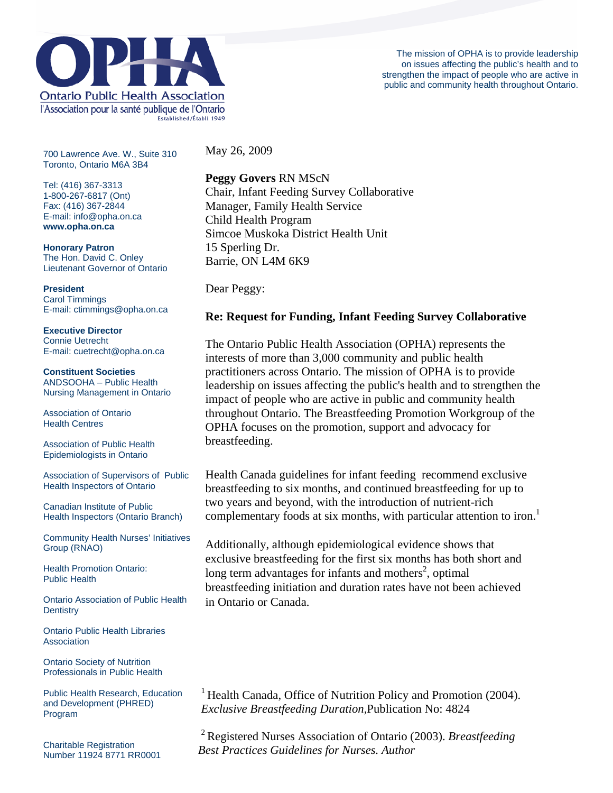

The mission of OPHA is to provide leadership on issues affecting the public's health and to strengthen the impact of people who are active in public and community health throughout Ontario.

700 Lawrence Ave. W., Suite 310 Toronto, Ontario M6A 3B4

Tel: (416) 367-3313 1-800-267-6817 (Ont) Fax: (416) 367-2844 E-mail: info@opha.on.ca **www.opha.on.ca** 

**Honorary Patron**  The Hon. David C. Onley Lieutenant Governor of Ontario

**President**  Carol Timmings E-mail: ctimmings@opha.on.ca

**Executive Director**  Connie Uetrecht E-mail: cuetrecht@opha.on.ca

**Constituent Societies**  ANDSOOHA – Public Health Nursing Management in Ontario

Association of Ontario Health Centres

Association of Public Health Epidemiologists in Ontario

Association of Supervisors of Public Health Inspectors of Ontario

Canadian Institute of Public Health Inspectors (Ontario Branch)

Community Health Nurses' Initiatives Group (RNAO)

Health Promotion Ontario: Public Health

Ontario Association of Public Health **Dentistry** 

Ontario Public Health Libraries **Association** 

Ontario Society of Nutrition Professionals in Public Health

Public Health Research, Education and Development (PHRED) Program

Charitable Registration Number 11924 8771 RR0001 May 26, 2009

**Peggy Govers** RN MScN Chair, Infant Feeding Survey Collaborative Manager, Family Health Service Child Health Program Simcoe Muskoka District Health Unit 15 Sperling Dr. Barrie, ON L4M 6K9

Dear Peggy:

## **Re: Request for Funding, Infant Feeding Survey Collaborative**

The Ontario Public Health Association (OPHA) represents the interests of more than 3,000 community and public health practitioners across Ontario. The mission of OPHA is to provide leadership on issues affecting the public's health and to strengthen the impact of people who are active in public and community health throughout Ontario. The Breastfeeding Promotion Workgroup of the OPHA focuses on the promotion, support and advocacy for breastfeeding.

Health Canada guidelines for infant feeding recommend exclusive breastfeeding to six months, and continued breastfeeding for up to two years and beyond, with the introduction of nutrient-rich complementary foods at six months, with particular attention to iron.<sup>1</sup>

Additionally, although epidemiological evidence shows that exclusive breastfeeding for the first six months has both short and long term advantages for infants and mothers<sup>2</sup>, optimal breastfeeding initiation and duration rates have not been achieved in Ontario or Canada.

<sup>1</sup> Health Canada, Office of Nutrition Policy and Promotion (2004). *Exclusive Breastfeeding Duration,*Publication No: 4824

 2 Registered Nurses Association of Ontario (2003). *Breastfeeding Best Practices Guidelines for Nurses. Author*